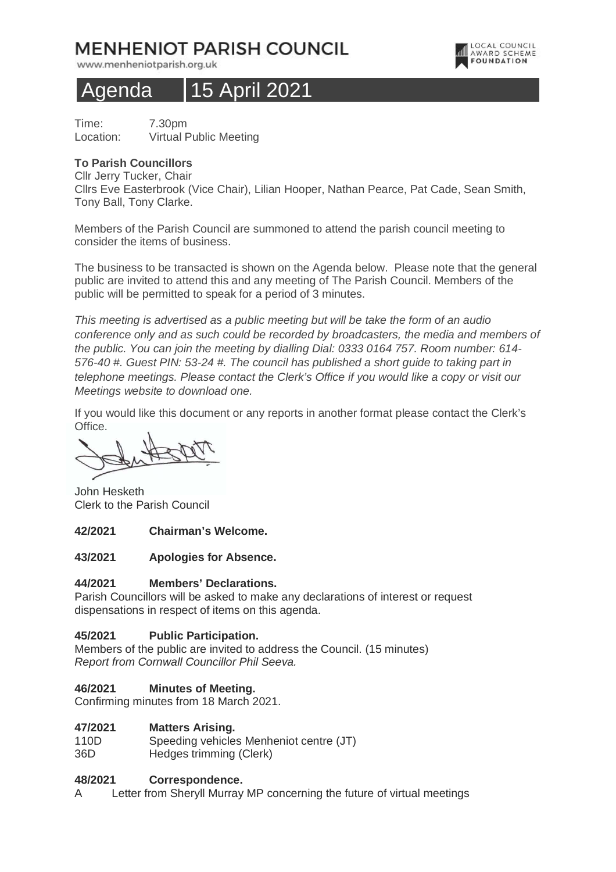# **MENHENIOT PARISH COUNCIL**

www.menheniotparish.org.uk



# Agenda 15 April 2021

Time: 7.30pm Location: Virtual Public Meeting

# **To Parish Councillors**

Cllr Jerry Tucker, Chair

Cllrs Eve Easterbrook (Vice Chair), Lilian Hooper, Nathan Pearce, Pat Cade, Sean Smith, Tony Ball, Tony Clarke.

Members of the Parish Council are summoned to attend the parish council meeting to consider the items of business.

The business to be transacted is shown on the Agenda below. Please note that the general public are invited to attend this and any meeting of The Parish Council. Members of the public will be permitted to speak for a period of 3 minutes.

This meeting is advertised as a public meeting but will be take the form of an audio conference only and as such could be recorded by broadcasters, the media and members of the public. You can join the meeting by dialling Dial: 0333 0164 757. Room number: 614- 576-40 #. Guest PIN: 53-24 #. The council has published a short guide to taking part in telephone meetings. Please contact the Clerk's Office if you would like a copy or visit our Meetings website to download one.

If you would like this document or any reports in another format please contact the Clerk's Office.

John Hesketh Clerk to the Parish Council

## **42/2021 Chairman's Welcome.**

## **43/2021 Apologies for Absence.**

# **44/2021 Members' Declarations.**

Parish Councillors will be asked to make any declarations of interest or request dispensations in respect of items on this agenda.

## **45/2021 Public Participation.**

Members of the public are invited to address the Council. (15 minutes) Report from Cornwall Councillor Phil Seeva.

# **46/2021 Minutes of Meeting.**

Confirming minutes from 18 March 2021.

## **47/2021 Matters Arising.**

110D Speeding vehicles Menheniot centre (JT) 36D Hedges trimming (Clerk)

## **48/2021 Correspondence.**

A Letter from Sheryll Murray MP concerning the future of virtual meetings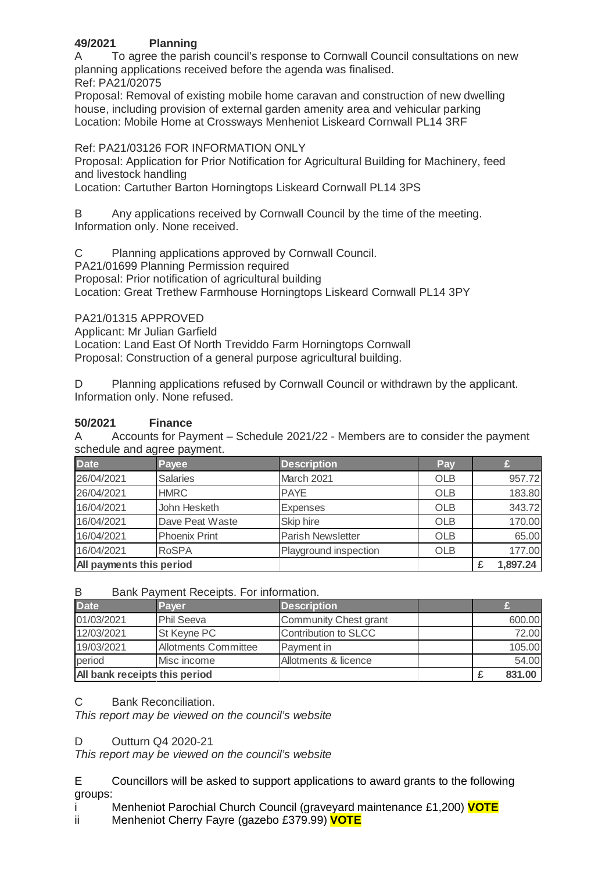# **49/2021 Planning**

A To agree the parish council's response to Cornwall Council consultations on new planning applications received before the agenda was finalised. Ref: PA21/02075

Proposal: Removal of existing mobile home caravan and construction of new dwelling house, including provision of external garden amenity area and vehicular parking Location: Mobile Home at Crossways Menheniot Liskeard Cornwall PL14 3RF

# Ref: PA21/03126 FOR INFORMATION ONLY

Proposal: Application for Prior Notification for Agricultural Building for Machinery, feed and livestock handling

Location: Cartuther Barton Horningtops Liskeard Cornwall PL14 3PS

B Any applications received by Cornwall Council by the time of the meeting. Information only. None received.

C Planning applications approved by Cornwall Council.

PA21/01699 Planning Permission required

Proposal: Prior notification of agricultural building

Location: Great Trethew Farmhouse Horningtops Liskeard Cornwall PL14 3PY

PA21/01315 APPROVED

Applicant: Mr Julian Garfield

Location: Land East Of North Treviddo Farm Horningtops Cornwall

Proposal: Construction of a general purpose agricultural building.

D Planning applications refused by Cornwall Council or withdrawn by the applicant. Information only. None refused.

# **50/2021 Finance**

A Accounts for Payment – Schedule 2021/22 - Members are to consider the payment schedule and agree payment.

| <b>Date</b>              | Payee                | <b>Description</b>    | Pay        |          |
|--------------------------|----------------------|-----------------------|------------|----------|
| 26/04/2021               | <b>Salaries</b>      | March 2021            | <b>OLB</b> | 957.72   |
| 26/04/2021               | <b>HMRC</b>          | <b>PAYE</b>           | <b>OLB</b> | 183.80   |
| 16/04/2021               | John Hesketh         | <b>Expenses</b>       | <b>OLB</b> | 343.72   |
| 16/04/2021               | Dave Peat Waste      | Skip hire             | <b>OLB</b> | 170.00   |
| 16/04/2021               | <b>Phoenix Print</b> | Parish Newsletter     | <b>OLB</b> | 65.00    |
| 16/04/2021               | <b>RoSPA</b>         | Playground inspection | <b>OLB</b> | 177.00   |
| All payments this period |                      |                       |            | 1,897.24 |

B Bank Payment Receipts. For information.

| <b>Date</b>                   | Paver                       | <b>Description</b>    |  |        |
|-------------------------------|-----------------------------|-----------------------|--|--------|
| 01/03/2021                    | <b>Phil Seeva</b>           | Community Chest grant |  | 600.00 |
| 12/03/2021                    | St Keyne PC                 | Contribution to SLCC  |  | 72.00  |
| 19/03/2021                    | <b>Allotments Committee</b> | Payment in            |  | 105.00 |
| period                        | Misc income                 | Allotments & licence  |  | 54.00  |
| All bank receipts this period |                             |                       |  | 831.00 |

C Bank Reconciliation.

This report may be viewed on the council's website

# D Outturn Q4 2020-21

This report may be viewed on the council's website

E Councillors will be asked to support applications to award grants to the following groups:

i Menheniot Parochial Church Council (graveyard maintenance £1,200) **VOTE**

ii Menheniot Cherry Fayre (gazebo £379.99) **VOTE**